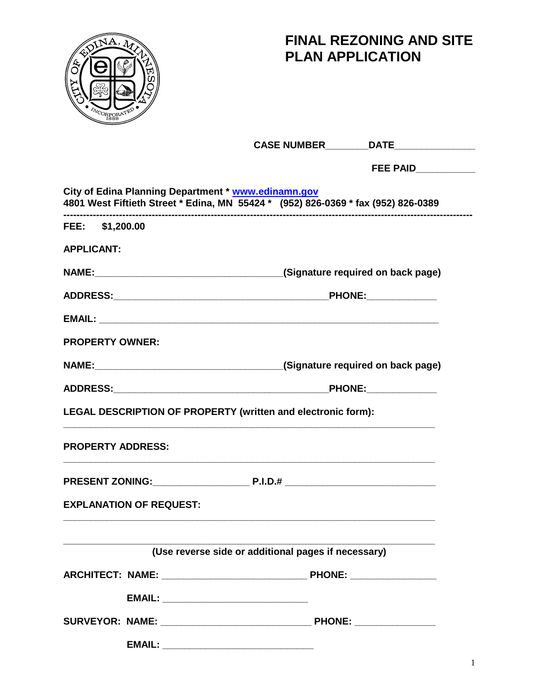

# **FINAL REZONING AND SITE PLAN APPLICATION**

|                                                                                                                                          | CASE NUMBER DATE DATE                               |
|------------------------------------------------------------------------------------------------------------------------------------------|-----------------------------------------------------|
|                                                                                                                                          | FEE PAID___________                                 |
| City of Edina Planning Department * www.edinamn.gov<br>4801 West Fiftieth Street * Edina, MN 55424 * (952) 826-0369 * fax (952) 826-0389 |                                                     |
| FEE: \$1,200.00                                                                                                                          |                                                     |
| <b>APPLICANT:</b>                                                                                                                        |                                                     |
|                                                                                                                                          |                                                     |
|                                                                                                                                          |                                                     |
|                                                                                                                                          |                                                     |
| <b>PROPERTY OWNER:</b>                                                                                                                   |                                                     |
|                                                                                                                                          | (Signature required on back page)                   |
|                                                                                                                                          |                                                     |
| LEGAL DESCRIPTION OF PROPERTY (written and electronic form):                                                                             |                                                     |
| <b>PROPERTY ADDRESS:</b>                                                                                                                 |                                                     |
|                                                                                                                                          |                                                     |
| <b>EXPLANATION OF REQUEST:</b>                                                                                                           |                                                     |
|                                                                                                                                          | (Use reverse side or additional pages if necessary) |
|                                                                                                                                          |                                                     |
|                                                                                                                                          |                                                     |
|                                                                                                                                          |                                                     |
|                                                                                                                                          |                                                     |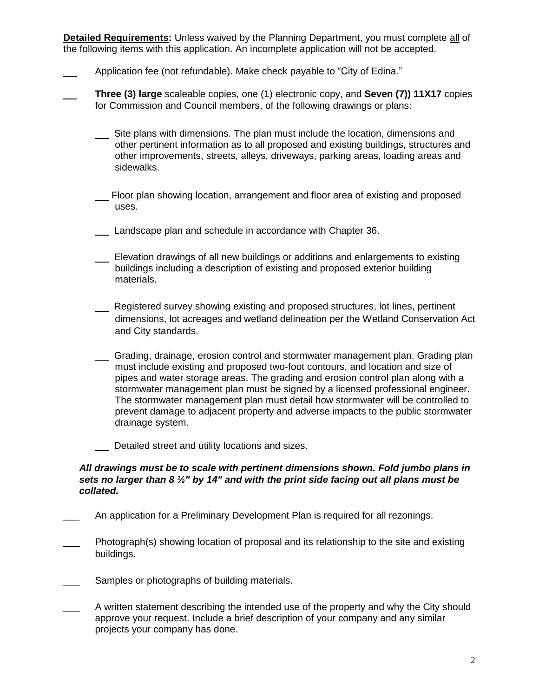**Detailed Requirements:** Unless waived by the Planning Department, you must complete all of the following items with this application. An incomplete application will not be accepted.

- Application fee (not refundable). Make check payable to "City of Edina."
- **Three (3) large** scaleable copies, one (1) electronic copy, and **Seven (7)) 11X17** copies for Commission and Council members, of the following drawings or plans:
	- Site plans with dimensions. The plan must include the location, dimensions and other pertinent information as to all proposed and existing buildings, structures and other improvements, streets, alleys, driveways, parking areas, loading areas and sidewalks.
	- Floor plan showing location, arrangement and floor area of existing and proposed uses.
	- Landscape plan and schedule in accordance with Chapter 36.
	- Elevation drawings of all new buildings or additions and enlargements to existing buildings including a description of existing and proposed exterior building materials.
	- Registered survey showing existing and proposed structures, lot lines, pertinent dimensions, lot acreages and wetland delineation per the Wetland Conservation Act and City standards.
	- Crading, drainage, erosion control and stormwater management plan. Grading plan must include existing and proposed two-foot contours, and location and size of pipes and water storage areas. The grading and erosion control plan along with a stormwater management plan must be signed by a licensed professional engineer. The stormwater management plan must detail how stormwater will be controlled to prevent damage to adjacent property and adverse impacts to the public stormwater drainage system.
	- Detailed street and utility locations and sizes.

#### *All drawings must be to scale with pertinent dimensions shown. Fold jumbo plans in sets no larger than 8 ½" by 14" and with the print side facing out all plans must be collated.*

- An application for a Preliminary Development Plan is required for all rezonings.
- Photograph(s) showing location of proposal and its relationship to the site and existing buildings.
- Samples or photographs of building materials.
- A written statement describing the intended use of the property and why the City should approve your request. Include a brief description of your company and any similar projects your company has done.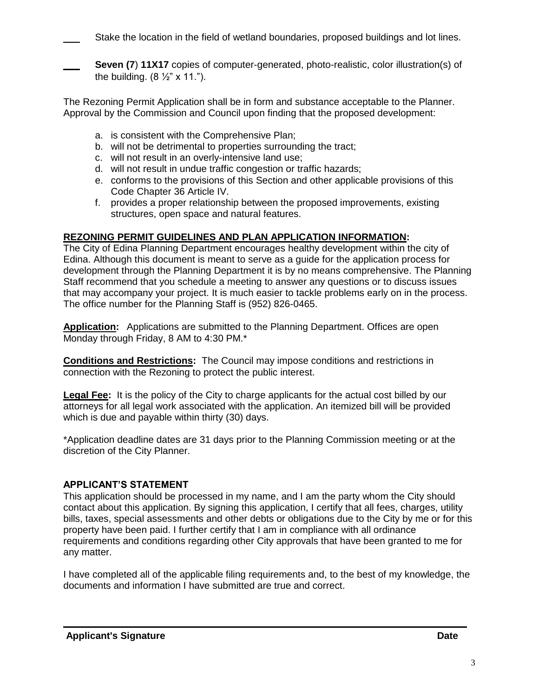Stake the location in the field of wetland boundaries, proposed buildings and lot lines.

**Seven (7) 11X17** copies of computer-generated, photo-realistic, color illustration(s) of the building.  $(8 \frac{1}{2} \times 11)^n$ .

The Rezoning Permit Application shall be in form and substance acceptable to the Planner. Approval by the Commission and Council upon finding that the proposed development:

- a. is consistent with the Comprehensive Plan;
- b. will not be detrimental to properties surrounding the tract;
- c. will not result in an overly-intensive land use;
- d. will not result in undue traffic congestion or traffic hazards;
- e. conforms to the provisions of this Section and other applicable provisions of this Code Chapter 36 Article IV.
- f. provides a proper relationship between the proposed improvements, existing structures, open space and natural features.

## **REZONING PERMIT GUIDELINES AND PLAN APPLICATION INFORMATION:**

The City of Edina Planning Department encourages healthy development within the city of Edina. Although this document is meant to serve as a guide for the application process for development through the Planning Department it is by no means comprehensive. The Planning Staff recommend that you schedule a meeting to answer any questions or to discuss issues that may accompany your project. It is much easier to tackle problems early on in the process. The office number for the Planning Staff is (952) 826-0465.

**Application:** Applications are submitted to the Planning Department. Offices are open Monday through Friday, 8 AM to 4:30 PM.\*

**Conditions and Restrictions:** The Council may impose conditions and restrictions in connection with the Rezoning to protect the public interest.

**Legal Fee:** It is the policy of the City to charge applicants for the actual cost billed by our attorneys for all legal work associated with the application. An itemized bill will be provided which is due and payable within thirty (30) days.

\*Application deadline dates are 31 days prior to the Planning Commission meeting or at the discretion of the City Planner.

#### **APPLICANT'S STATEMENT**

This application should be processed in my name, and I am the party whom the City should contact about this application. By signing this application, I certify that all fees, charges, utility bills, taxes, special assessments and other debts or obligations due to the City by me or for this property have been paid. I further certify that I am in compliance with all ordinance requirements and conditions regarding other City approvals that have been granted to me for any matter.

I have completed all of the applicable filing requirements and, to the best of my knowledge, the documents and information I have submitted are true and correct.